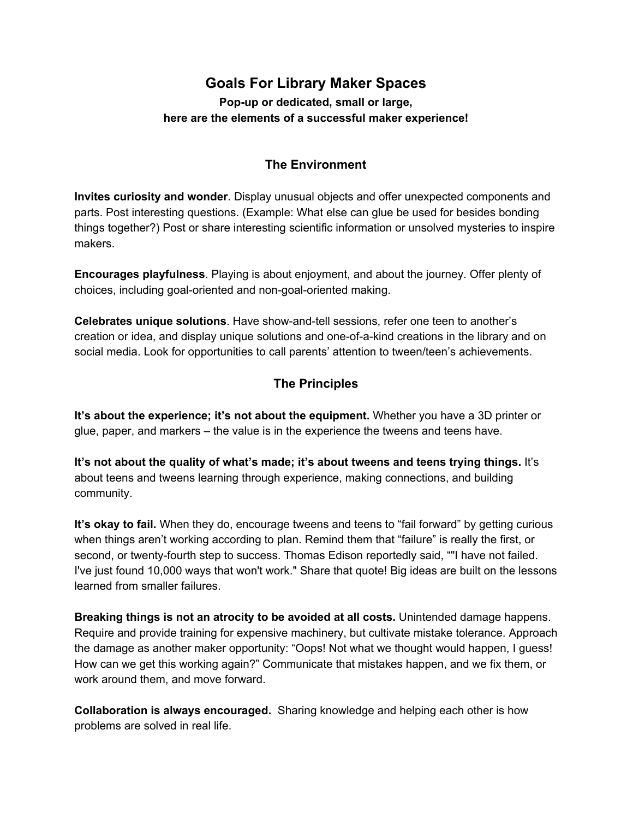## **Goals For Library Maker Spaces**

**Popup or dedicated, small or large, here are the elements of a successful maker experience!**

## **The Environment**

**Invites curiosity and wonder**. Display unusual objects and offer unexpected components and parts. Post interesting questions. (Example: What else can glue be used for besides bonding things together?) Post or share interesting scientific information or unsolved mysteries to inspire makers.

**Encourages playfulness**. Playing is about enjoyment, and about the journey. Offer plenty of choices, including goal-oriented and non-goal-oriented making.

**Celebrates unique solutions**. Have show-and-tell sessions, refer one teen to another's creation or idea, and display unique solutions and one-of-a-kind creations in the library and on social media. Look for opportunities to call parents' attention to tween/teen's achievements.

## **The Principles**

**It's about the experience; it's not about the equipment.** Whether you have a 3D printer or glue, paper, and markers – the value is in the experience the tweens and teens have.

**It's not about the quality of what's made; it's about tweens and teens trying things.**It's about teens and tweens learning through experience, making connections, and building community.

**It's okay to fail.**When they do, encourage tweens and teens to "fail forward" by getting curious when things aren't working according to plan. Remind them that "failure" is really the first, or second, or twenty-fourth step to success. Thomas Edison reportedly said, ""I have not failed. I've just found 10,000 ways that won't work." Share that quote! Big ideas are built on the lessons learned from smaller failures.

**Breaking things is not an atrocity to be avoided at all costs.**Unintended damage happens. Require and provide training for expensive machinery, but cultivate mistake tolerance. Approach the damage as another maker opportunity: "Oops! Not what we thought would happen, I guess! How can we get this working again?" Communicate that mistakes happen, and we fix them, or work around them, and move forward.

**Collaboration is always encouraged.** Sharing knowledge and helping each other is how problems are solved in real life.